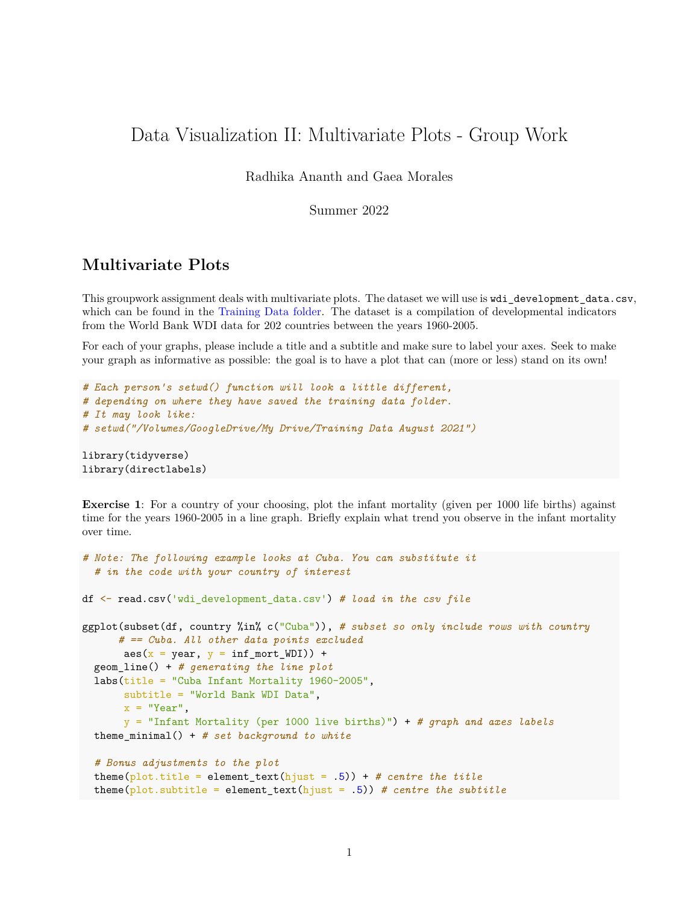## Data Visualization II: Multivariate Plots - Group Work

Radhika Ananth and Gaea Morales

Summer 2022

## **Multivariate Plots**

This groupwork assignment deals with multivariate plots. The dataset we will use is wdi\_development\_data.csv, which can be found in the [Training Data folder.](https://www.uscspec.org/training-data) The dataset is a compilation of developmental indicators from the World Bank WDI data for 202 countries between the years 1960-2005.

For each of your graphs, please include a title and a subtitle and make sure to label your axes. Seek to make your graph as informative as possible: the goal is to have a plot that can (more or less) stand on its own!

```
# Each person's setwd() function will look a little different,
# depending on where they have saved the training data folder.
# It may look like:
# setwd("/Volumes/GoogleDrive/My Drive/Training Data August 2021")
library(tidyverse)
library(directlabels)
```
**Exercise 1**: For a country of your choosing, plot the infant mortality (given per 1000 life births) against time for the years 1960-2005 in a line graph. Briefly explain what trend you observe in the infant mortality over time.

```
# Note: The following example looks at Cuba. You can substitute it
  # in the code with your country of interest
df <- read.csv('wdi_development_data.csv') # load in the csv file
ggplot(subset(df, country %in% c("Cuba")), # subset so only include rows with country
      # == Cuba. All other data points excluded
       \text{aes}(x = \text{year}, y = \text{inf\_mort\_WDI}) +
  geom_line() + # generating the line plot
  labs(title = "Cuba Infant Mortality 1960-2005",
       subtitle = "World Bank WDI Data",
       x = "Year".y = "Infant Mortality (per 1000 live births)") + # graph and axes labels
  theme_minimal() + # set background to white
  # Bonus adjustments to the plot
  theme(plot.title = element_text(hjust = .5)) + # centre the title
  theme(plot.subtitle = element_text(hjust = .5)) # centre the subtitle
```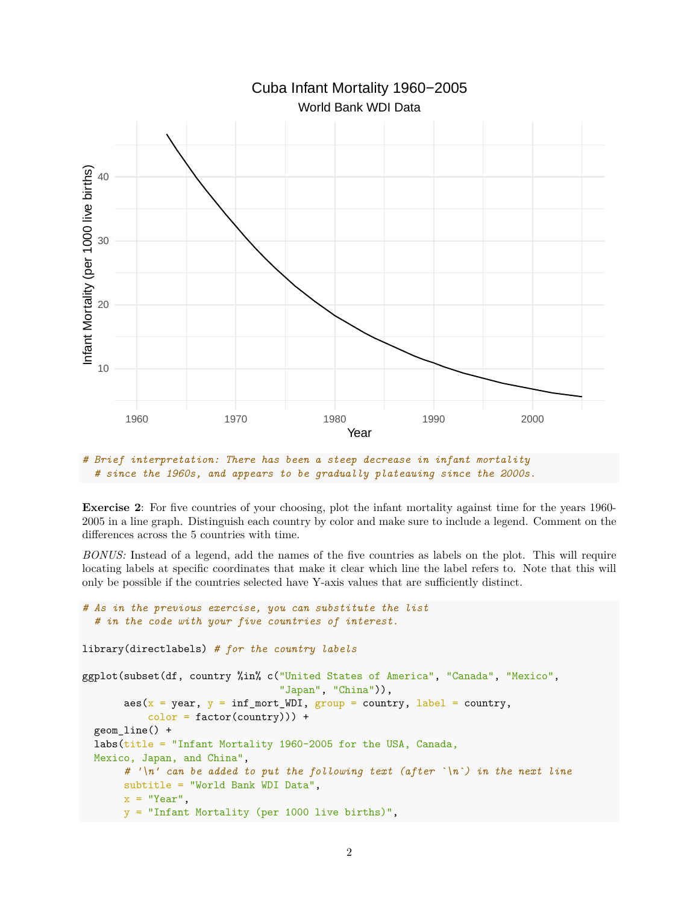

*# Brief interpretation: There has been a steep decrease in infant mortality # since the 1960s, and appears to be gradually plateauing since the 2000s.*

**Exercise 2**: For five countries of your choosing, plot the infant mortality against time for the years 1960-2005 in a line graph. Distinguish each country by color and make sure to include a legend. Comment on the differences across the 5 countries with time.

*BONUS:* Instead of a legend, add the names of the five countries as labels on the plot. This will require locating labels at specific coordinates that make it clear which line the label refers to. Note that this will only be possible if the countries selected have Y-axis values that are sufficiently distinct.

```
# As in the previous exercise, you can substitute the list
  # in the code with your five countries of interest.
library(directlabels) # for the country labels
ggplot(subset(df, country %in% c("United States of America", "Canada", "Mexico",
                                 "Japan", "China")),
       aes(x = year, y = inf_mort_WDI, group = country, label = country,color = factor( country)) +
  geom_line() +
  labs(title = "Infant Mortality 1960-2005 for the USA, Canada,
  Mexico, Japan, and China",
       # '\n' can be added to put the following text (after `\n`) in the next line
      subtitle = "World Bank WDI Data",
      x = "Year",y = "Infant Mortality (per 1000 live births)",
```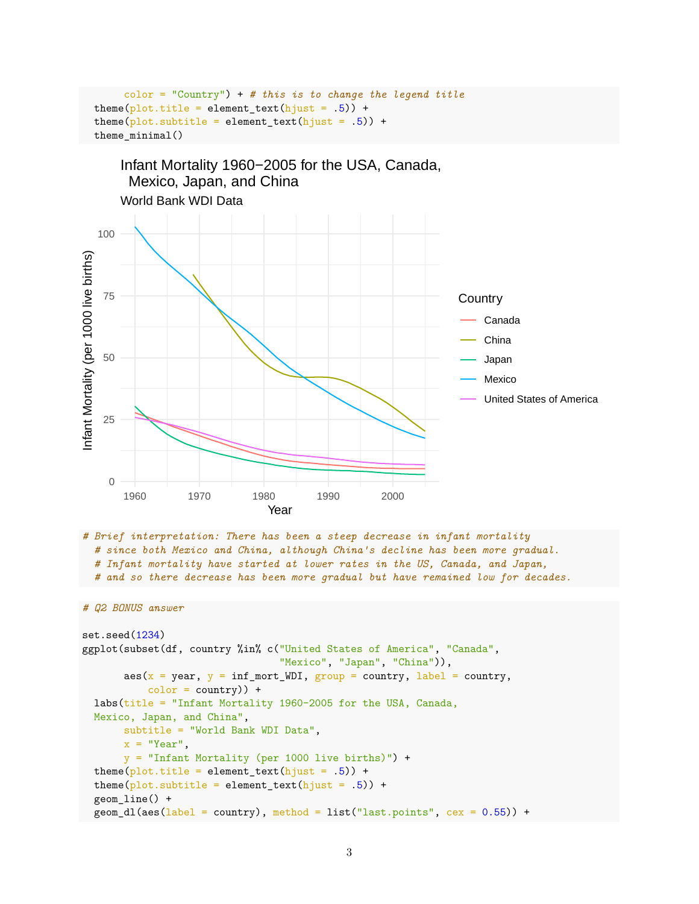```
color = "Country") + # this is to change the legend title
theme(plot.title = element_text(hjust = .5)) +
theme(plot.subtitle = element_text(hjust = .5)) +
theme minimal()
```


```
# Brief interpretation: There has been a steep decrease in infant mortality
  # since both Mexico and China, although China's decline has been more gradual.
  # Infant mortality have started at lower rates in the US, Canada, and Japan,
  # and so there decrease has been more gradual but have remained low for decades.
```

```
# Q2 BONUS answer
```

```
set.seed(1234)
ggplot(subset(df, country %in% c("United States of America", "Canada",
                                 "Mexico", "Japan", "China")),
       aes(x = year, y = inf_mort_WDI, group = country, label = country,color = country) +
  labs(title = "Infant Mortality 1960-2005 for the USA, Canada,
  Mexico, Japan, and China",
      subtitle = "World Bank WDI Data",
      x = "Year",y = "Infant Mortality (per 1000 live births)") +
  theme(plot.title = element_text(hjust = .5)) +
  theme(plot.subtitle = element_text(hjust = .5)) +
  geom_line() +
  geom_d1(aes(label = country), method = list("last.points", cex = 0.55)) +
```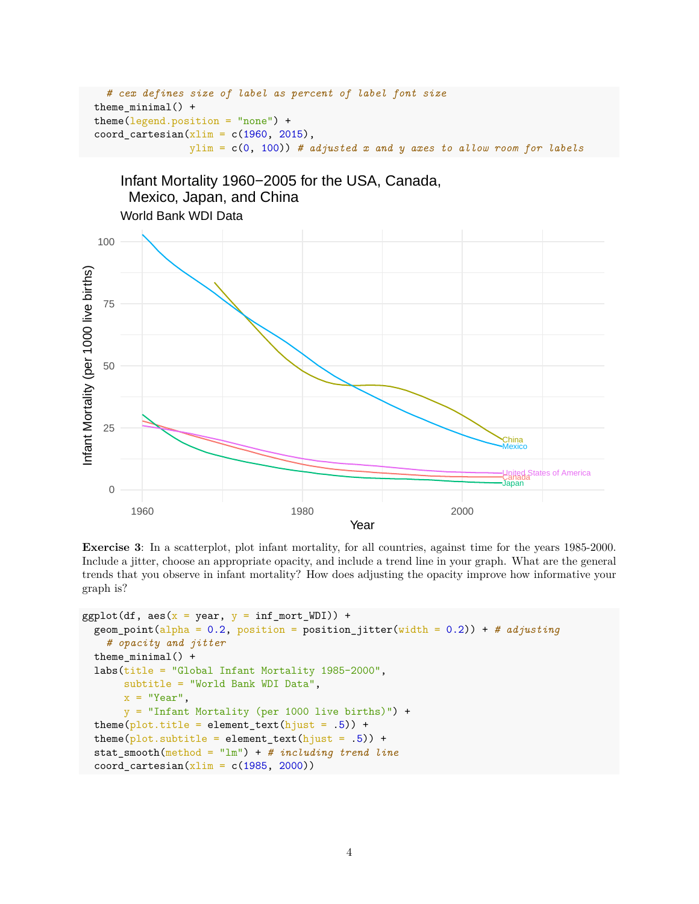```
# cex defines size of label as percent of label font size
theme_minimal() +
theme(legend.position = "none") +
coord_cartesian(xlim = c(1960, 2015),ylim = c(0, 100)) # adjusted x and y axes to allow room for labels
```


**Exercise 3**: In a scatterplot, plot infant mortality, for all countries, against time for the years 1985-2000. Include a jitter, choose an appropriate opacity, and include a trend line in your graph. What are the general trends that you observe in infant mortality? How does adjusting the opacity improve how informative your graph is?

```
ggplot(df, aes(x = year, y = inf_mort_WDI)) +geom point(alpha = 0.2, position = position jitter(width = 0.2)) + # adjusting
    # opacity and jitter
  theme minimal() +labs(title = "Global Infant Mortality 1985-2000",
      subtitle = "World Bank WDI Data",
      x = "Year",y = "Infant Mortality (per 1000 live births)") +
  theme(plot.title = element_text(hjust = .5)) +
  theme(plot.subtitle = element_text(hjust = .5)) +
  stat_smooth(method = "lm") + # including trend line
  coord_cartesian(xlim = c(1985, 2000))
```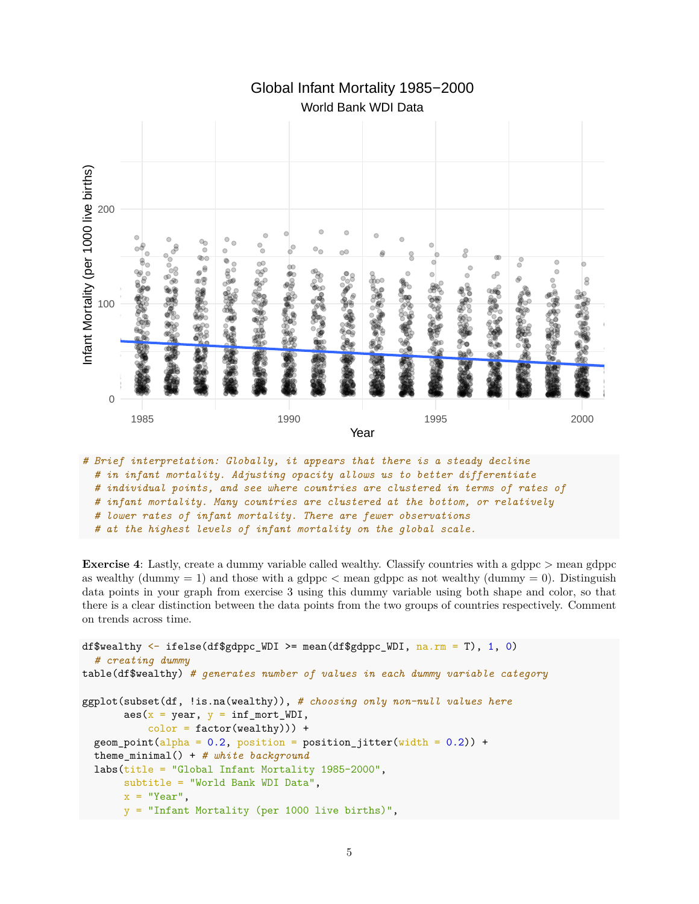

World Bank WDI Data Global Infant Mortality 1985−2000

**Exercise 4**: Lastly, create a dummy variable called wealthy. Classify countries with a gdppc  $>$  mean gdppc as wealthy (dummy  $= 1$ ) and those with a gdppc  $\lt$  mean gdppc as not wealthy (dummy  $= 0$ ). Distinguish data points in your graph from exercise 3 using this dummy variable using both shape and color, so that there is a clear distinction between the data points from the two groups of countries respectively. Comment on trends across time.

```
df$wealthy \leq ifelse(df$gdppc_WDI >= mean(df$gdppc_WDI, na.rm = T), 1, 0)
  # creating dummy
table(df$wealthy) # generates number of values in each dummy variable category
ggplot(subset(df, !is.na(wealthy)), # choosing only non-null values here
       \text{aes}(x = \text{year}, y = \text{inf\_mort\_WDI},color = factor(wealth)) +geom\_point(alpha = 0.2, position = position\_jitter(width = 0.2)) +theme_minimal() + # white background
  labs(title = "Global Infant Mortality 1985-2000",
       subtitle = "World Bank WDI Data",
       x = "Year",y = "Infant Mortality (per 1000 live births)",
```